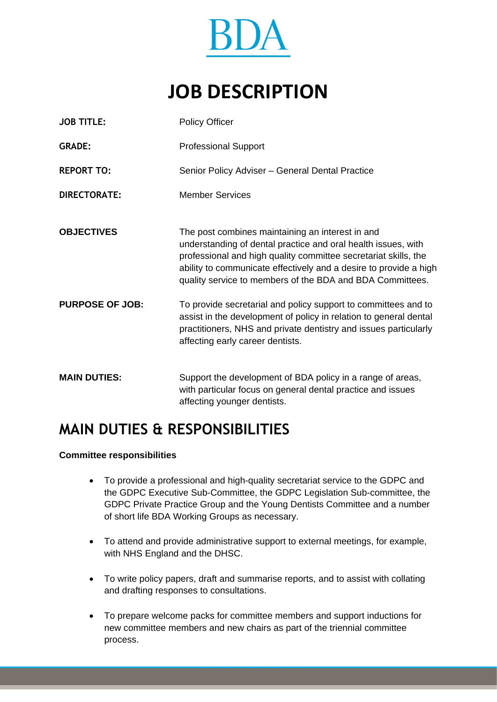

# **JOB DESCRIPTION**

| <b>JOB TITLE:</b>      | <b>Policy Officer</b>                                                                                                                                                                                                                                                                                                  |
|------------------------|------------------------------------------------------------------------------------------------------------------------------------------------------------------------------------------------------------------------------------------------------------------------------------------------------------------------|
| <b>GRADE:</b>          | <b>Professional Support</b>                                                                                                                                                                                                                                                                                            |
| <b>REPORT TO:</b>      | Senior Policy Adviser - General Dental Practice                                                                                                                                                                                                                                                                        |
| <b>DIRECTORATE:</b>    | <b>Member Services</b>                                                                                                                                                                                                                                                                                                 |
| <b>OBJECTIVES</b>      | The post combines maintaining an interest in and<br>understanding of dental practice and oral health issues, with<br>professional and high quality committee secretariat skills, the<br>ability to communicate effectively and a desire to provide a high<br>quality service to members of the BDA and BDA Committees. |
| <b>PURPOSE OF JOB:</b> | To provide secretarial and policy support to committees and to<br>assist in the development of policy in relation to general dental<br>practitioners, NHS and private dentistry and issues particularly<br>affecting early career dentists.                                                                            |
| <b>MAIN DUTIES:</b>    | Support the development of BDA policy in a range of areas,<br>with particular focus on general dental practice and issues<br>affecting younger dentists.                                                                                                                                                               |

# **MAIN DUTIES & RESPONSIBILITIES**

### **Committee responsibilities**

- To provide a professional and high-quality secretariat service to the GDPC and the GDPC Executive Sub-Committee, the GDPC Legislation Sub-committee, the GDPC Private Practice Group and the Young Dentists Committee and a number of short life BDA Working Groups as necessary.
- To attend and provide administrative support to external meetings, for example, with NHS England and the DHSC.
- To write policy papers, draft and summarise reports, and to assist with collating and drafting responses to consultations.
- To prepare welcome packs for committee members and support inductions for new committee members and new chairs as part of the triennial committee process.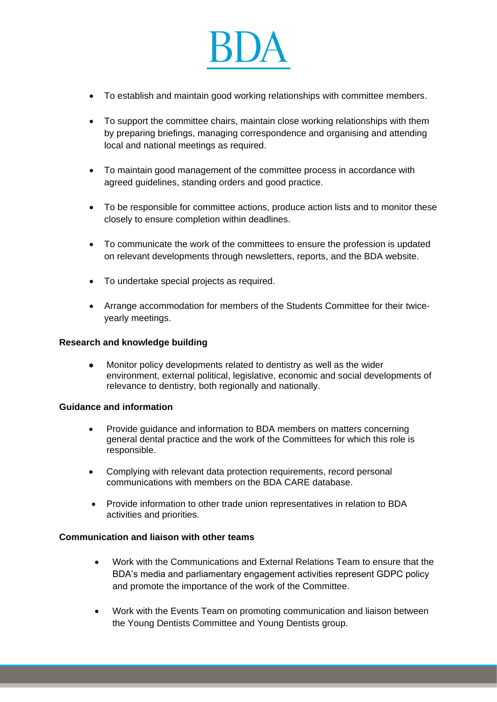

- To establish and maintain good working relationships with committee members.
- To support the committee chairs, maintain close working relationships with them by preparing briefings, managing correspondence and organising and attending local and national meetings as required.
- To maintain good management of the committee process in accordance with agreed guidelines, standing orders and good practice.
- To be responsible for committee actions, produce action lists and to monitor these closely to ensure completion within deadlines.
- To communicate the work of the committees to ensure the profession is updated on relevant developments through newsletters, reports, and the BDA website.
- To undertake special projects as required.
- Arrange accommodation for members of the Students Committee for their twiceyearly meetings.

#### **Research and knowledge building**

⚫ Monitor policy developments related to dentistry as well as the wider environment, external political, legislative, economic and social developments of relevance to dentistry, both regionally and nationally.

#### **Guidance and information**

- Provide guidance and information to BDA members on matters concerning general dental practice and the work of the Committees for which this role is responsible.
- Complying with relevant data protection requirements, record personal communications with members on the BDA CARE database.
- Provide information to other trade union representatives in relation to BDA activities and priorities.

## **Communication and liaison with other teams**

- Work with the Communications and External Relations Team to ensure that the BDA's media and parliamentary engagement activities represent GDPC policy and promote the importance of the work of the Committee.
- Work with the Events Team on promoting communication and liaison between the Young Dentists Committee and Young Dentists group.